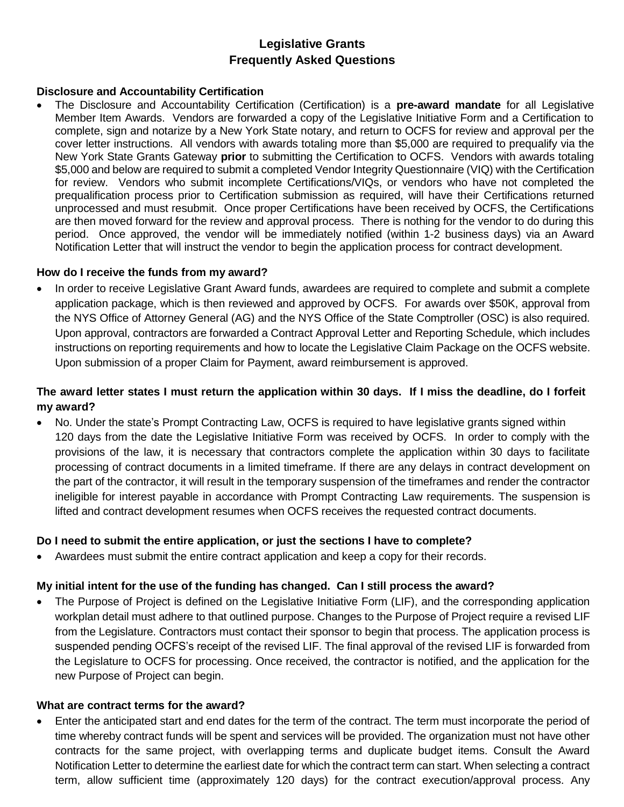# **Legislative Grants Frequently Asked Questions**

#### **Disclosure and Accountability Certification**

 The Disclosure and Accountability Certification (Certification) is a **pre-award mandate** for all Legislative Member Item Awards. Vendors are forwarded a copy of the Legislative Initiative Form and a Certification to complete, sign and notarize by a New York State notary, and return to OCFS for review and approval per the cover letter instructions. All vendors with awards totaling more than \$5,000 are required to prequalify via the New York State Grants Gateway **prior** to submitting the Certification to OCFS. Vendors with awards totaling \$5,000 and below are required to submit a completed Vendor Integrity Questionnaire (VIQ) with the Certification for review. Vendors who submit incomplete Certifications/VIQs, or vendors who have not completed the prequalification process prior to Certification submission as required, will have their Certifications returned unprocessed and must resubmit. Once proper Certifications have been received by OCFS, the Certifications are then moved forward for the review and approval process. There is nothing for the vendor to do during this period. Once approved, the vendor will be immediately notified (within 1-2 business days) via an Award Notification Letter that will instruct the vendor to begin the application process for contract development.

#### **How do I receive the funds from my award?**

 In order to receive Legislative Grant Award funds, awardees are required to complete and submit a complete application package, which is then reviewed and approved by OCFS. For awards over \$50K, approval from the NYS Office of Attorney General (AG) and the NYS Office of the State Comptroller (OSC) is also required. Upon approval, contractors are forwarded a Contract Approval Letter and Reporting Schedule, which includes instructions on reporting requirements and how to locate the Legislative Claim Package on the OCFS website. Upon submission of a proper Claim for Payment, award reimbursement is approved.

## The award letter states I must return the application within 30 days. If I miss the deadline, do I forfeit **my award?**

 No. Under the state's Prompt Contracting Law, OCFS is required to have legislative grants signed within 120 days from the date the Legislative Initiative Form was received by OCFS. In order to comply with the provisions of the law, it is necessary that contractors complete the application within 30 days to facilitate processing of contract documents in a limited timeframe. If there are any delays in contract development on the part of the contractor, it will result in the temporary suspension of the timeframes and render the contractor ineligible for interest payable in accordance with Prompt Contracting Law requirements. The suspension is lifted and contract development resumes when OCFS receives the requested contract documents.

## **Do I need to submit the entire application, or just the sections I have to complete?**

Awardees must submit the entire contract application and keep a copy for their records.

## **My initial intent for the use of the funding has changed. Can I still process the award?**

 The Purpose of Project is defined on the Legislative Initiative Form (LIF), and the corresponding application workplan detail must adhere to that outlined purpose. Changes to the Purpose of Project require a revised LIF from the Legislature. Contractors must contact their sponsor to begin that process. The application process is suspended pending OCFS's receipt of the revised LIF. The final approval of the revised LIF is forwarded from the Legislature to OCFS for processing. Once received, the contractor is notified, and the application for the new Purpose of Project can begin.

#### **What are contract terms for the award?**

 Enter the anticipated start and end dates for the term of the contract. The term must incorporate the period of time whereby contract funds will be spent and services will be provided. The organization must not have other contracts for the same project, with overlapping terms and duplicate budget items. Consult the Award Notification Letter to determine the earliest date for which the contract term can start. When selecting a contract term, allow sufficient time (approximately 120 days) for the contract execution/approval process. Any